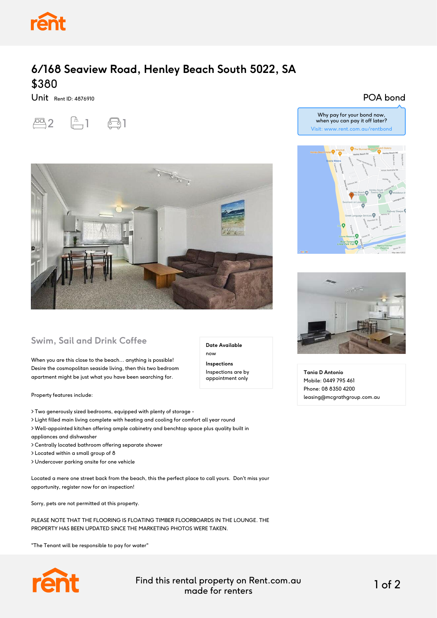

## **6/168 Seaview Road, Henley Beach South 5022, SA** \$380

Unit Rent ID: 4876910



POA bond



## **Swim, Sail and Drink Coffee**

When you are this close to the beach... anything is possible! Desire the cosmopolitan seaside living, then this two bedroom apartment might be just what you have been searching for.

Property features include:

> Two generously sized bedrooms, equipped with plenty of storage -

- > Light filled main living complete with heating and cooling for comfort all year round
- > Well-appointed kitchen offering ample cabinetry and benchtop space plus quality built in appliances and dishwasher
- > Centrally located bathroom offering separate shower
- > Located within a small group of 8

> Undercover parking onsite for one vehicle

Located a mere one street back from the beach, this the perfect place to call yours. Don't miss your opportunity, register now for an inspection!

Sorry, pets are not permitted at this property.

PLEASE NOTE THAT THE FLOORING IS FLOATING TIMBER FLOORBOARDS IN THE LOUNGE. THE PROPERTY HAS BEEN UPDATED SINCE THE MARKETING PHOTOS WERE TAKEN.

"The Tenant will be responsible to pay for water"



Find this rental property on Rent.com.au made for renters 1 of 2

**Date Available**

now **Inspections** Inspections are by appointment only



Why pay for your bond now, when you can pay it off later? Visit: www.rent.com.au/rentbond



**Tania D Antonio** Mobile: 0449 795 461 Phone: 08 8350 4200 leasing@mcgrathgroup.com.au